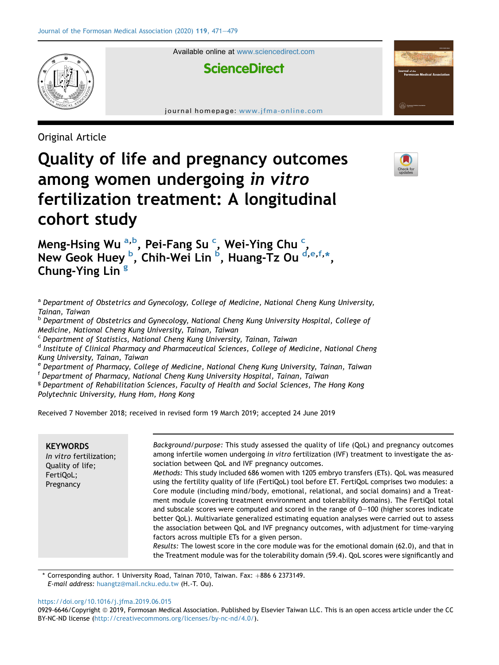

Available online at [www.sciencedirect.com](www.sciencedirect.com/science/journal/09296646)

## **ScienceDirect**

journal homepage: [www.jfma-online.com](http://www.jfma-online.com)

Original Article

# Quality of life and pregnancy outcomes among women undergoing in vitro fertilization treatment: A longitudinal cohort study



Meng-Hsing Wu <sup>a,b</sup>, Pei-Fang Su <sup>c</sup>, Wei-Ying Chu <sup>c</sup>, New Geok Huey <sup>b</sup>, Chih-Wei Lin <sup>b</sup>, Huang-Tz Ou <sup>d,e,f,\*</sup>, Chung-Ying Lin<sup>g</sup>

a Department of Obstetrics and Gynecology, College of Medicine, National Cheng Kung University, Tainan, Taiwan

<sup>b</sup> Department of Obstetrics and Gynecology, National Cheng Kung University Hospital, College of Medicine, National Cheng Kung University, Tainan, Taiwan

 $c$  Department of Statistics, National Cheng Kung University, Tainan, Taiwan

d Institute of Clinical Pharmacy and Pharmaceutical Sciences, College of Medicine, National Cheng Kung University, Tainan, Taiwan

<sup>e</sup> Department of Pharmacy, College of Medicine, National Cheng Kung University, Tainan, Taiwan

<sup>f</sup> Department of Pharmacy, National Cheng Kung University Hospital, Tainan, Taiwan

<sup>g</sup> Department of Rehabilitation Sciences, Faculty of Health and Social Sciences, The Hong Kong Polytechnic University, Hung Hom, Hong Kong

Received 7 November 2018; received in revised form 19 March 2019; accepted 24 June 2019

| <b>KEYWORDS</b><br>In vitro fertilization;<br>Quality of life;<br>FertiQoL;<br>Pregnancy | Background/purpose: This study assessed the quality of life (QoL) and pregnancy outcomes<br>among infertile women undergoing in vitro fertilization (IVF) treatment to investigate the as-<br>sociation between QoL and IVF pregnancy outcomes.<br>Methods: This study included 686 women with 1205 embryo transfers (ETs). QoL was measured<br>using the fertility quality of life (FertiQoL) tool before ET. FertiQoL comprises two modules: a<br>Core module (including mind/body, emotional, relational, and social domains) and a Treat-<br>ment module (covering treatment environment and tolerability domains). The FertiQol total<br>and subscale scores were computed and scored in the range of $0-100$ (higher scores indicate<br>better QoL). Multivariate generalized estimating equation analyses were carried out to assess<br>the association between QoL and IVF pregnancy outcomes, with adjustment for time-varying<br>factors across multiple ETs for a given person.<br>Results: The lowest score in the core module was for the emotional domain (62.0), and that in<br>the Treatment module was for the tolerability domain (59.4). QoL scores were significantly and |
|------------------------------------------------------------------------------------------|-----------------------------------------------------------------------------------------------------------------------------------------------------------------------------------------------------------------------------------------------------------------------------------------------------------------------------------------------------------------------------------------------------------------------------------------------------------------------------------------------------------------------------------------------------------------------------------------------------------------------------------------------------------------------------------------------------------------------------------------------------------------------------------------------------------------------------------------------------------------------------------------------------------------------------------------------------------------------------------------------------------------------------------------------------------------------------------------------------------------------------------------------------------------------------------------------|
|                                                                                          |                                                                                                                                                                                                                                                                                                                                                                                                                                                                                                                                                                                                                                                                                                                                                                                                                                                                                                                                                                                                                                                                                                                                                                                               |

 $*$  Corresponding author. 1 University Road, Tainan 7010, Taiwan. Fax:  $+886$  6 2373149. E-mail address: [huangtz@mail.ncku.edu.tw](mailto:huangtz@mail.ncku.edu.tw) (H.-T. Ou).

<https://doi.org/10.1016/j.jfma.2019.06.015>

0929-6646/Copyright © 2019, Formosan Medical Association. Published by Elsevier Taiwan LLC. This is an open access article under the CC BY-NC-ND license (<http://creativecommons.org/licenses/by-nc-nd/4.0/>).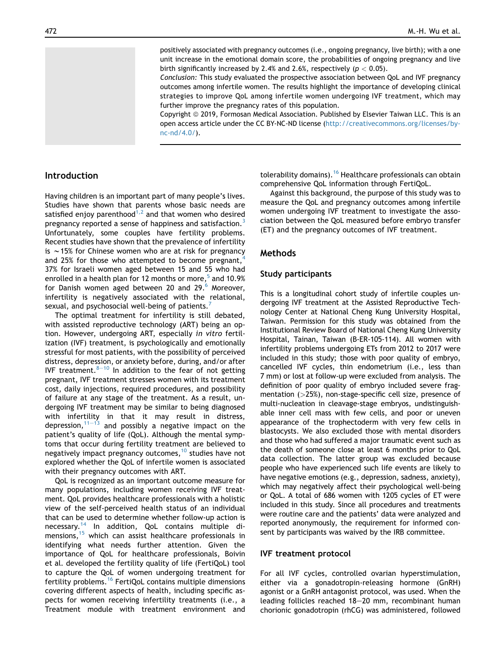positively associated with pregnancy outcomes (i.e., ongoing pregnancy, live birth); with a one unit increase in the emotional domain score, the probabilities of ongoing pregnancy and live birth significantly increased by 2.4% and 2.6%, respectively ( $p < 0.05$ ).

Conclusion: This study evaluated the prospective association between QoL and IVF pregnancy outcomes among infertile women. The results highlight the importance of developing clinical strategies to improve QoL among infertile women undergoing IVF treatment, which may further improve the pregnancy rates of this population.

Copyright © 2019, Formosan Medical Association. Published by Elsevier Taiwan LLC. This is an open access article under the CC BY-NC-ND license ([http://creativecommons.org/licenses/by](http://creativecommons.org/licenses/by-nc-nd/4.0/)[nc-nd/4.0/](http://creativecommons.org/licenses/by-nc-nd/4.0/)).

## Introduction

Having children is an important part of many people's lives. Studies have shown that parents whose basic needs are satisfied enjoy parenthood<sup>[1,2](#page-8-0)</sup> and that women who desired pregnancy reported a sense of happiness and satisfaction.<sup>[3](#page-8-0)</sup> Unfortunately, some couples have fertility problems. Recent studies have shown that the prevalence of infertility is  $\sim$  15% for Chinese women who are at risk for pregnancy and 25% for those who attempted to become pregnant, 37% for Israeli women aged between 15 and 55 who had enrolled in a health plan for 12 months or more, $5$  and 10.9% for Danish women aged between 20 and 29. $^6$  $^6$  Moreover, infertility is negatively associated with the relational, sexual, and psychosocial well-being of patients.<sup>[7](#page-8-0)</sup>

The optimal treatment for infertility is still debated, with assisted reproductive technology (ART) being an option. However, undergoing ART, especially in vitro fertilization (IVF) treatment, is psychologically and emotionally stressful for most patients, with the possibility of perceived distress, depression, or anxiety before, during, and/or after IVF treatment. $8-10$  $8-10$  $8-10$  In addition to the fear of not getting pregnant, IVF treatment stresses women with its treatment cost, daily injections, required procedures, and possibility of failure at any stage of the treatment. As a result, undergoing IVF treatment may be similar to being diagnosed with infertility in that it may result in distress, depression,  $11-13$  $11-13$  $11-13$  and possibly a negative impact on the patient's quality of life (QoL). Although the mental symptoms that occur during fertility treatment are believed to negatively impact pregnancy outcomes, $10$  studies have not explored whether the QoL of infertile women is associated with their pregnancy outcomes with ART.

QoL is recognized as an important outcome measure for many populations, including women receiving IVF treatment. QoL provides healthcare professionals with a holistic view of the self-perceived health status of an individual that can be used to determine whether follow-up action is necessary.[14](#page-8-0) In addition, QoL contains multiple dimensions,[15](#page-8-0) which can assist healthcare professionals in identifying what needs further attention. Given the importance of QoL for healthcare professionals, Boivin et al. developed the fertility quality of life (FertiQoL) tool to capture the QoL of women undergoing treatment for fertility problems.[16](#page-8-0) FertiQoL contains multiple dimensions covering different aspects of health, including specific aspects for women receiving infertility treatments (i.e., a Treatment module with treatment environment and tolerability domains).<sup>[16](#page-8-0)</sup> Healthcare professionals can obtain comprehensive QoL information through FertiQoL.

Against this background, the purpose of this study was to measure the QoL and pregnancy outcomes among infertile women undergoing IVF treatment to investigate the association between the QoL measured before embryo transfer (ET) and the pregnancy outcomes of IVF treatment.

#### Methods

#### Study participants

This is a longitudinal cohort study of infertile couples undergoing IVF treatment at the Assisted Reproductive Technology Center at National Cheng Kung University Hospital, Taiwan. Permission for this study was obtained from the Institutional Review Board of National Cheng Kung University Hospital, Tainan, Taiwan (B-ER-105-114). All women with infertility problems undergoing ETs from 2012 to 2017 were included in this study; those with poor quality of embryo, cancelled IVF cycles, thin endometrium (i.e., less than 7 mm) or lost at follow-up were excluded from analysis. The definition of poor quality of embryo included severe fragmentation (>25%), non-stage-specific cell size, presence of multi-nucleation in cleavage-stage embryos, undistinguishable inner cell mass with few cells, and poor or uneven appearance of the trophectoderm with very few cells in blastocysts. We also excluded those with mental disorders and those who had suffered a major traumatic event such as the death of someone close at least 6 months prior to QoL data collection. The latter group was excluded because people who have experienced such life events are likely to have negative emotions (e.g., depression, sadness, anxiety), which may negatively affect their psychological well-being or QoL. A total of 686 women with 1205 cycles of ET were included in this study. Since all procedures and treatments were routine care and the patients' data were analyzed and reported anonymously, the requirement for informed consent by participants was waived by the IRB committee.

#### IVF treatment protocol

For all IVF cycles, controlled ovarian hyperstimulation, either via a gonadotropin-releasing hormone (GnRH) agonist or a GnRH antagonist protocol, was used. When the leading follicles reached 18-20 mm, recombinant human chorionic gonadotropin (rhCG) was administered, followed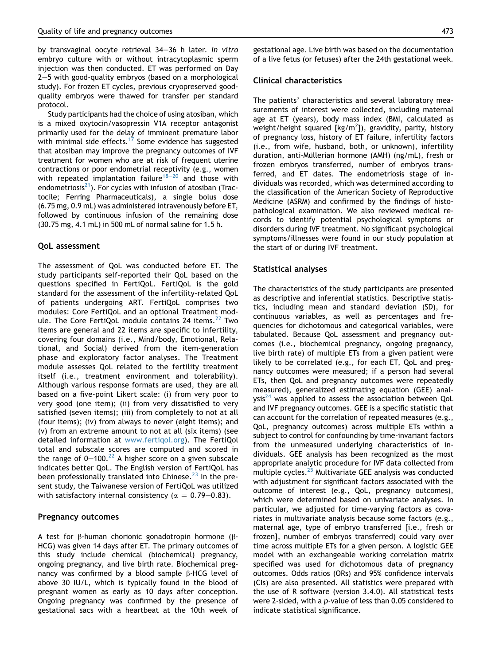by transvaginal oocyte retrieval  $34-36$  h later. In vitro embryo culture with or without intracytoplasmic sperm injection was then conducted. ET was performed on Day  $2-5$  with good-quality embryos (based on a morphological study). For frozen ET cycles, previous cryopreserved goodquality embryos were thawed for transfer per standard protocol.

Study participants had the choice of using atosiban, which is a mixed oxytocin/vasopressin V1A receptor antagonist primarily used for the delay of imminent premature labor with minimal side effects.<sup>17</sup> Some evidence has suggested that atosiban may improve the pregnancy outcomes of IVF treatment for women who are at risk of frequent uterine contractions or poor endometrial receptivity (e.g., women with repeated implantation failure<sup>18-[20](#page-8-0)</sup> and those with endometriosis $^{21}$ ). For cycles with infusion of atosiban (Tractocile; Ferring Pharmaceuticals), a single bolus dose (6.75 mg, 0.9 mL) was administered intravenously before ET, followed by continuous infusion of the remaining dose (30.75 mg, 4.1 mL) in 500 mL of normal saline for 1.5 h.

#### QoL assessment

The assessment of QoL was conducted before ET. The study participants self-reported their QoL based on the questions specified in FertiQoL. FertiQoL is the gold standard for the assessment of the infertility-related QoL of patients undergoing ART. FertiQoL comprises two modules: Core FertiQoL and an optional Treatment module. The Core FertiQoL module contains 24 items. $^{22}$  $^{22}$  $^{22}$  Two items are general and 22 items are specific to infertility, covering four domains (i.e., Mind/body, Emotional, Relational, and Social) derived from the item-generation phase and exploratory factor analyses. The Treatment module assesses QoL related to the fertility treatment itself (i.e., treatment environment and tolerability). Although various response formats are used, they are all based on a five-point Likert scale: (i) from very poor to very good (one item); (ii) from very dissatisfied to very satisfied (seven items); (iii) from completely to not at all (four items); (iv) from always to never (eight items); and (v) from an extreme amount to not at all (six items) (see detailed information at [www.fertiqol.org](http://www.fertiqol.org/)). The FertiQol total and subscale scores are computed and scored in the range of  $0-100$ .<sup>[22](#page-8-0)</sup> A higher score on a given subscale indicates better QoL. The English version of FertiQoL has been professionally translated into Chinese.<sup>[23](#page-8-0)</sup> In the present study, the Taiwanese version of FertiQoL was utilized with satisfactory internal consistency ( $\alpha = 0.79-0.83$ ).

#### Pregnancy outcomes

A test for  $\beta$ -human chorionic gonadotropin hormone ( $\beta$ -HCG) was given 14 days after ET. The primary outcomes of this study include chemical (biochemical) pregnancy, ongoing pregnancy, and live birth rate. Biochemical pregnancy was confirmed by a blood sample  $\beta$ -HCG level of above 30 IU/L, which is typically found in the blood of pregnant women as early as 10 days after conception. Ongoing pregnancy was confirmed by the presence of gestational sacs with a heartbeat at the 10th week of gestational age. Live birth was based on the documentation of a live fetus (or fetuses) after the 24th gestational week.

#### Clinical characteristics

The patients' characteristics and several laboratory measurements of interest were collected, including maternal age at ET (years), body mass index (BMI, calculated as weight/height squared [kg/m<sup>2</sup>]), gravidity, parity, history of pregnancy loss, history of ET failure, infertility factors (i.e., from wife, husband, both, or unknown), infertility duration, anti-Müllerian hormone (AMH) (ng/mL), fresh or frozen embryos transferred, number of embryos transferred, and ET dates. The endometriosis stage of individuals was recorded, which was determined according to the classification of the American Society of Reproductive Medicine (ASRM) and confirmed by the findings of histopathological examination. We also reviewed medical records to identify potential psychological symptoms or disorders during IVF treatment. No significant psychological symptoms/illnesses were found in our study population at the start of or during IVF treatment.

#### Statistical analyses

The characteristics of the study participants are presented as descriptive and inferential statistics. Descriptive statistics, including mean and standard deviation (SD), for continuous variables, as well as percentages and frequencies for dichotomous and categorical variables, were tabulated. Because QoL assessment and pregnancy outcomes (i.e., biochemical pregnancy, ongoing pregnancy, live birth rate) of multiple ETs from a given patient were likely to be correlated (e.g., for each ET, QoL and pregnancy outcomes were measured; if a person had several ETs, then QoL and pregnancy outcomes were repeatedly measured), generalized estimating equation (GEE) anal $y$ sis<sup>[24](#page-8-0)</sup> was applied to assess the association between QoL and IVF pregnancy outcomes. GEE is a specific statistic that can account for the correlation of repeated measures (e.g., QoL, pregnancy outcomes) across multiple ETs within a subject to control for confounding by time-invariant factors from the unmeasured underlying characteristics of individuals. GEE analysis has been recognized as the most appropriate analytic procedure for IVF data collected from multiple cycles.[25](#page-8-0) Multivariate GEE analysis was conducted with adjustment for significant factors associated with the outcome of interest (e.g., QoL, pregnancy outcomes), which were determined based on univariate analyses. In particular, we adjusted for time-varying factors as covariates in multivariate analysis because some factors (e.g., maternal age, type of embryo transferred [i.e., fresh or frozen], number of embryos transferred) could vary over time across multiple ETs for a given person. A logistic GEE model with an exchangeable working correlation matrix specified was used for dichotomous data of pregnancy outcomes. Odds ratios (ORs) and 95% confidence intervals (CIs) are also presented. All statistics were prepared with the use of R software (version 3.4.0). All statistical tests were 2-sided, with a  $p$ -value of less than 0.05 considered to indicate statistical significance.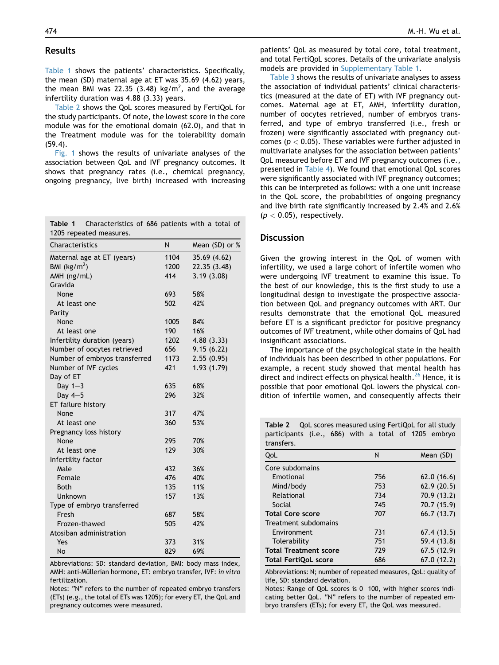## Results

Table 1 shows the patients' characteristics. Specifically, the mean (SD) maternal age at ET was 35.69 (4.62) years, the mean BMI was 22.35 (3.48) kg/m<sup>2</sup>, and the average infertility duration was 4.88 (3.33) years.

Table 2 shows the QoL scores measured by FertiQoL for the study participants. Of note, the lowest score in the core module was for the emotional domain (62.0), and that in the Treatment module was for the tolerability domain (59.4).

[Fig. 1](#page-4-0) shows the results of univariate analyses of the association between QoL and IVF pregnancy outcomes. It shows that pregnancy rates (i.e., chemical pregnancy, ongoing pregnancy, live birth) increased with increasing

| <b>Table 1</b> Characteristics of 686 patients with a total of |  |  |  |  |
|----------------------------------------------------------------|--|--|--|--|
| 1205 repeated measures.                                        |  |  |  |  |

| Characteristics               | N    | Mean (SD) or % |
|-------------------------------|------|----------------|
| Maternal age at ET (years)    | 1104 | 35.69 (4.62)   |
| BMI ( $\text{kg/m}^2$ )       | 1200 | 22.35 (3.48)   |
| AMH (ng/mL)                   | 414  | 3.19(3.08)     |
| Gravida                       |      |                |
| None                          | 693  | 58%            |
| At least one                  | 502  | 42%            |
| Parity                        |      |                |
| None                          | 1005 | 84%            |
| At least one                  | 190  | 16%            |
| Infertility duration (years)  | 1202 | 4.88 (3.33)    |
| Number of oocytes retrieved   | 656  | 9.15(6.22)     |
| Number of embryos transferred | 1173 | 2.55(0.95)     |
| Number of IVF cycles          | 421  | 1.93(1.79)     |
| Day of ET                     |      |                |
| Day $1-3$                     | 635  | 68%            |
| Day $4-5$                     | 296  | 32%            |
| ET failure history            |      |                |
| None                          | 317  | 47%            |
| At least one                  | 360  | 53%            |
| Pregnancy loss history        |      |                |
| None                          | 295  | 70%            |
| At least one                  | 129  | 30%            |
| Infertility factor            |      |                |
| Male                          | 432  | 36%            |
| Female                        | 476  | 40%            |
| <b>Both</b>                   | 135  | 11%            |
| Unknown                       | 157  | 13%            |
| Type of embryo transferred    |      |                |
| Fresh                         | 687  | 58%            |
| Frozen-thawed                 | 505  | 42%            |
| Atosiban administration       |      |                |
| Yes                           | 373  | 31%            |
| No                            | 829  | 69%            |

Abbreviations: SD: standard deviation, BMI: body mass index, AMH: anti-Müllerian hormone, ET: embryo transfer, IVF: in vitro fertilization.

Notes: "N" refers to the number of repeated embryo transfers (ETs) (e.g., the total of ETs was 1205); for every ET, the QoL and pregnancy outcomes were measured.

patients' QoL as measured by total core, total treatment, and total FertiQoL scores. Details of the univariate analysis models are provided in Supplementary Table 1.

[Table 3](#page-5-0) shows the results of univariate analyses to assess the association of individual patients' clinical characteristics (measured at the date of ET) with IVF pregnancy outcomes. Maternal age at ET, AMH, infertility duration, number of oocytes retrieved, number of embryos transferred, and type of embryo transferred (i.e., fresh or frozen) were significantly associated with pregnancy outcomes ( $p < 0.05$ ). These variables were further adjusted in multivariate analyses for the association between patients' QoL measured before ET and IVF pregnancy outcomes (i.e., presented in [Table 4\)](#page-6-0). We found that emotional QoL scores were significantly associated with IVF pregnancy outcomes; this can be interpreted as follows: with a one unit increase in the QoL score, the probabilities of ongoing pregnancy and live birth rate significantly increased by 2.4% and 2.6%  $(p < 0.05)$ , respectively.

#### **Discussion**

Given the growing interest in the QoL of women with infertility, we used a large cohort of infertile women who were undergoing IVF treatment to examine this issue. To the best of our knowledge, this is the first study to use a longitudinal design to investigate the prospective association between QoL and pregnancy outcomes with ART. Our results demonstrate that the emotional QoL measured before ET is a significant predictor for positive pregnancy outcomes of IVF treatment, while other domains of QoL had insignificant associations.

The importance of the psychological state in the health of individuals has been described in other populations. For example, a recent study showed that mental health has direct and indirect effects on physical health.<sup>[26](#page-8-0)</sup> Hence, it is possible that poor emotional QoL lowers the physical condition of infertile women, and consequently affects their

Table 2 QoL scores measured using FertiQoL for all study participants (i.e., 686) with a total of 1205 embryo transfers.

| QoL                          | Ν   | Mean (SD)   |
|------------------------------|-----|-------------|
| Core subdomains              |     |             |
| Emotional                    | 756 | 62.0(16.6)  |
| Mind/body                    | 753 | 62.9(20.5)  |
| Relational                   | 734 | 70.9 (13.2) |
| Social                       | 745 | 70.7 (15.9) |
| <b>Total Core score</b>      | 707 | 66.7(13.7)  |
| Treatment subdomains         |     |             |
| Environment                  | 731 | 67.4(13.5)  |
| Tolerability                 | 751 | 59.4 (13.8) |
| <b>Total Treatment score</b> | 729 | 67.5(12.9)  |
| <b>Total FertiQoL score</b>  | 686 | 67.0(12.2)  |
|                              |     |             |

Abbreviations: N; number of repeated measures, QoL: quality of life, SD: standard deviation.

Notes: Range of QoL scores is 0-100, with higher scores indicating better QoL. "N" refers to the number of repeated embryo transfers (ETs); for every ET, the QoL was measured.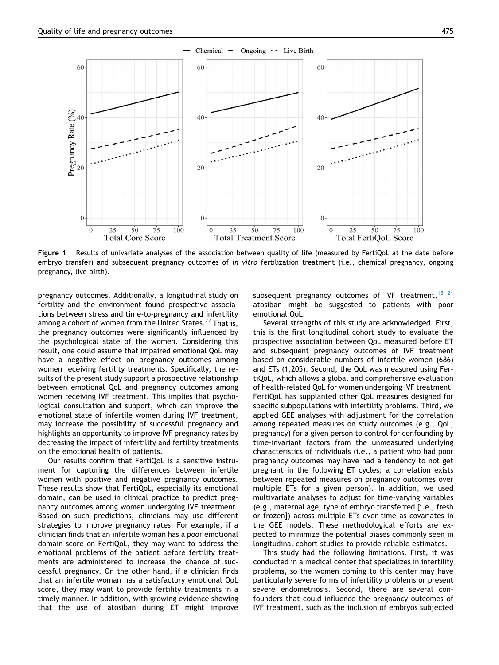<span id="page-4-0"></span>60

Pregnancy Rate  $\left(\begin{array}{c} 0/6 \\ \pm 0 \end{array}\right)$ 

pregnancy, live birth).



20

 $\sqrt{a}$  $\sqrt{a}$  $\sqrt{a}$  $7<sub>5</sub>$  $\dot{\Omega}$  $25$  $50$  $100$  $25$  $\overline{50}$ 75  $100$  $2<sup>5</sup>$  $50$ 75  $100$  $\Omega$  $\ddot{0}$ **Total Core Score Total Treatment Score Total FertiQoL Score** Figure 1 Results of univariate analyses of the association between quality of life (measured by FertiQoL at the date before embryo transfer) and subsequent pregnancy outcomes of in vitro fertilization treatment (i.e., chemical pregnancy, ongoing

 $20$ 

pregnancy outcomes. Additionally, a longitudinal study on fertility and the environment found prospective associations between stress and time-to-pregnancy and infertility among a cohort of women from the United States.<sup>[27](#page-8-0)</sup> That is, the pregnancy outcomes were significantly influenced by the psychological state of the women. Considering this result, one could assume that impaired emotional QoL may have a negative effect on pregnancy outcomes among women receiving fertility treatments. Specifically, the results of the present study support a prospective relationship between emotional QoL and pregnancy outcomes among women receiving IVF treatment. This implies that psychological consultation and support, which can improve the emotional state of infertile women during IVF treatment, may increase the possibility of successful pregnancy and highlights an opportunity to improve IVF pregnancy rates by decreasing the impact of infertility and fertility treatments on the emotional health of patients.

Our results confirm that FertiQoL is a sensitive instrument for capturing the differences between infertile women with positive and negative pregnancy outcomes. These results show that FertiQoL, especially its emotional domain, can be used in clinical practice to predict pregnancy outcomes among women undergoing IVF treatment. Based on such predictions, clinicians may use different strategies to improve pregnancy rates. For example, if a clinician finds that an infertile woman has a poor emotional domain score on FertiQoL, they may want to address the emotional problems of the patient before fertility treatments are administered to increase the chance of successful pregnancy. On the other hand, if a clinician finds that an infertile woman has a satisfactory emotional QoL score, they may want to provide fertility treatments in a timely manner. In addition, with growing evidence showing that the use of atosiban during ET might improve subsequent pregnancy outcomes of IVF treatment,  $18-21$  $18-21$  $18-21$ atosiban might be suggested to patients with poor emotional QoL.

Several strengths of this study are acknowledged. First, this is the first longitudinal cohort study to evaluate the prospective association between QoL measured before ET and subsequent pregnancy outcomes of IVF treatment based on considerable numbers of infertile women (686) and ETs (1,205). Second, the QoL was measured using FertiQoL, which allows a global and comprehensive evaluation of health-related QoL for women undergoing IVF treatment. FertiQoL has supplanted other QoL measures designed for specific subpopulations with infertility problems. Third, we applied GEE analyses with adjustment for the correlation among repeated measures on study outcomes (e.g., QoL, pregnancy) for a given person to control for confounding by time-invariant factors from the unmeasured underlying characteristics of individuals (i.e., a patient who had poor pregnancy outcomes may have had a tendency to not get pregnant in the following ET cycles; a correlation exists between repeated measures on pregnancy outcomes over multiple ETs for a given person). In addition, we used multivariate analyses to adjust for time-varying variables (e.g., maternal age, type of embryo transferred [i.e., fresh or frozen]) across multiple ETs over time as covariates in the GEE models. These methodological efforts are expected to minimize the potential biases commonly seen in longitudinal cohort studies to provide reliable estimates.

This study had the following limitations. First, it was conducted in a medical center that specializes in infertility problems, so the women coming to this center may have particularly severe forms of infertility problems or present severe endometriosis. Second, there are several confounders that could influence the pregnancy outcomes of IVF treatment, such as the inclusion of embryos subjected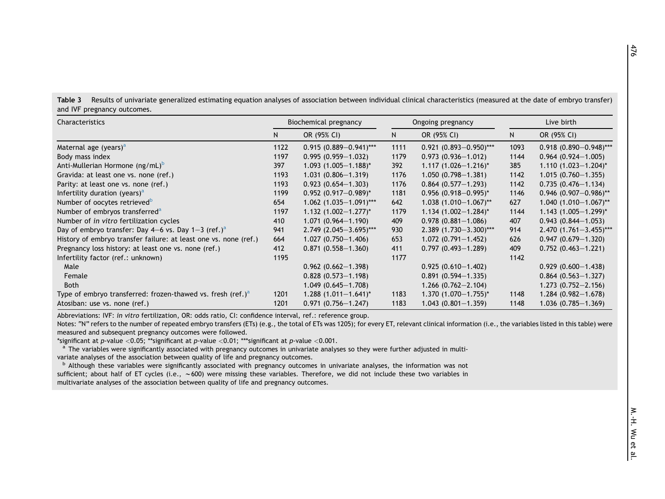<span id="page-5-0"></span>

| Table 3 Results of univariate generalized estimating equation analyses of association between individual clinical characteristics (measured at the date of embryo transfer) |
|-----------------------------------------------------------------------------------------------------------------------------------------------------------------------------|
| and IVF pregnancy outcomes.                                                                                                                                                 |

| Characteristics                                                       |      | Biochemical pregnancy         |      | Ongoing pregnancy                  |      | Live birth                 |
|-----------------------------------------------------------------------|------|-------------------------------|------|------------------------------------|------|----------------------------|
|                                                                       | N.   | OR (95% CI)                   | N.   | OR (95% CI)                        | N    | OR (95% CI)                |
| Maternal age (years) <sup>a</sup>                                     | 1122 | $0.915$ $(0.889 - 0.941)$ *** | 1111 | $0.921$ $(0.893 - 0.950)$ ***      | 1093 | $0.918$ (0.890-0.948)***   |
| Body mass index                                                       | 1197 | $0.995(0.959 - 1.032)$        | 1179 | $0.973(0.936 - 1.012)$             | 1144 | $0.964(0.924 - 1.005)$     |
| Anti-Mullerian Hormone (ng/mL) <sup>b</sup>                           | 397  | $1.093$ (1.005-1.188)*        | 392  | $1.117(1.026 - 1.216)^{*}$         | 385  | $1.110(1.023 - 1.204)^{*}$ |
| Gravida: at least one vs. none (ref.)                                 | 1193 | $1.031(0.806 - 1.319)$        | 1176 | $1.050(0.798 - 1.381)$             | 1142 | $1.015(0.760 - 1.355)$     |
| Parity: at least one vs. none (ref.)                                  | 1193 | $0.923(0.654 - 1.303)$        | 1176 | $0.864(0.577 - 1.293)$             | 1142 | $0.735(0.476 - 1.134)$     |
| Infertility duration (years) $a$                                      | 1199 | $0.952$ (0.917-0.989)*        | 1181 | $0.956$ (0.918-0.995)*             | 1146 | $0.946$ (0.907-0.986)**    |
| Number of oocytes retrieved <sup>b</sup>                              | 654  | $1.062$ (1.035-1.091)***      | 642  | $1.038(1.010-1.067)$ <sup>**</sup> | 627  | $1.040(1.010-1.067)$ **    |
| Number of embryos transferred <sup>a</sup>                            | 1197 | $1.132$ $(1.002 - 1.277)^*$   | 1179 | $1.134(1.002 - 1.284)^{*}$         | 1144 | $1.143$ (1.005-1.299)*     |
| Number of in vitro fertilization cycles                               | 410  | $1.071(0.964 - 1.190)$        | 409  | $0.978(0.881 - 1.086)$             | 407  | $0.943(0.844 - 1.053)$     |
| Day of embryo transfer: Day 4–6 vs. Day 1–3 (ref.) <sup>a</sup>       | 941  | $2.749$ (2.045-3.695)***      | 930  | $2.389$ (1.730 $-3.300$ )***       | 914  | $2.470(1.761 - 3.455)$ *** |
| History of embryo transfer failure: at least one vs. none (ref.)      | 664  | $1.027(0.750 - 1.406)$        | 653  | $1.072$ (0.791-1.452)              | 626  | $0.947(0.679 - 1.320)$     |
| Pregnancy loss history: at least one vs. none (ref.)                  | 412  | $0.871(0.558 - 1.360)$        | 411  | $0.797(0.493 - 1.289)$             | 409  | $0.752(0.463 - 1.221)$     |
| Infertility factor (ref.: unknown)                                    | 1195 |                               | 1177 |                                    | 1142 |                            |
| Male                                                                  |      | $0.962(0.662 - 1.398)$        |      | $0.925(0.610-1.402)$               |      | $0.929(0.600 - 1.438)$     |
| Female                                                                |      | $0.828(0.573 - 1.198)$        |      | $0.891(0.594 - 1.335)$             |      | $0.864(0.563 - 1.327)$     |
| <b>Both</b>                                                           |      | $1.049(0.645 - 1.708)$        |      | $1.266$ (0.762-2.104)              |      | $1.273(0.752 - 2.156)$     |
| Type of embryo transferred: frozen-thawed vs. fresh (ref.) $^{\circ}$ | 1201 | $1.288$ $(1.011 - 1.641)^*$   | 1183 | $1.370$ $(1.070 - 1.755)^*$        | 1148 | $1.284(0.982 - 1.678)$     |
| Atosiban: use vs. none (ref.)                                         | 1201 | $0.971(0.756 - 1.247)$        | 1183 | $1.043(0.801 - 1.359)$             | 1148 | $1.036(0.785 - 1.369)$     |

Abbreviations: IVF: in vitro fertilization, OR: odds ratio, CI: confidence interval, ref.: reference group.

Notes: "N" refers to the number of repeated embryo transfers (ETs) (e.g., the total of ETs was 1205); for every ET, relevant clinical information (i.e., the variables listed in this table) were measured and subsequent pregnancy outcomes were followed.

\*significant at p-value <sup>&</sup>lt;0.05; \*\*significant at p-value <sup>&</sup>lt;0.01; \*\*\*significant at p-value <sup>&</sup>lt;0.001.

<sup>a</sup> The variables were significantly associated with pregnancy outcomes in univariate analyses so they were further adjusted in multivariate analyses of the association between quality of life and pregnancy outcomes.

<sup>b</sup> Although these variables were significantly associated with pregnancy outcomes in univariate analyses, the information was not sufficient; about half of ET cycles (i.e.,  $\sim$  600) were missing these variables. Therefore, we did not include these two variables in multivariate analyses of the association between quality of life and pregnancy outcomes.

> M.-H. Wu et al. M.-H. Wu et al.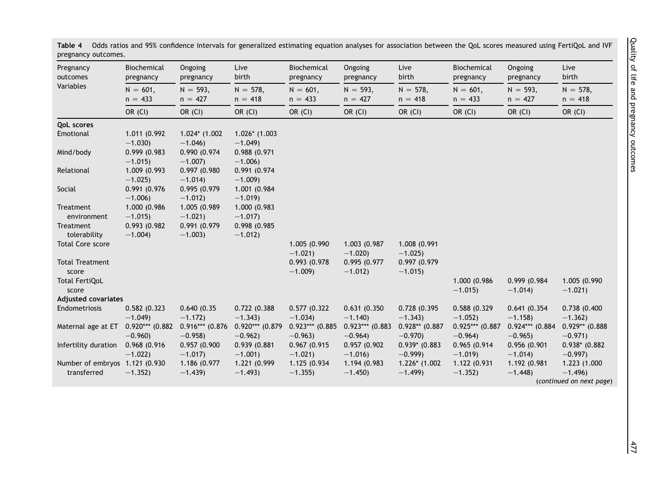| Pregnancy<br>outcomes                         | Biochemical<br>pregnancy       | Ongoing<br>pregnancy          | Live<br>birth                   | Biochemical<br>pregnancy       | Ongoing<br>pregnancy           | Live<br>birth                  | Biochemical<br>pregnancy       | Ongoing<br>pregnancy          | Live<br>birth                                        |
|-----------------------------------------------|--------------------------------|-------------------------------|---------------------------------|--------------------------------|--------------------------------|--------------------------------|--------------------------------|-------------------------------|------------------------------------------------------|
| Variables                                     | $N = 601$ ,<br>$n = 433$       | $N = 593$ ,<br>$n = 427$      | $N = 578$ ,<br>$n = 418$        | $N = 601$ ,<br>$n = 433$       | $N = 593$ ,<br>$n = 427$       | $N = 578$ ,<br>$n = 418$       | $N = 601$ ,<br>$n = 433$       | $N = 593$ ,<br>$n = 427$      | $N = 578,$<br>$n = 418$                              |
|                                               | OR $(Cl)$                      | OR (CI)                       | OR (CI)                         | OR (CI)                        | OR $(CI)$                      | OR (CI)                        | OR (CI)                        | OR $(Cl)$                     | OR (CI)                                              |
| <b>QoL</b> scores                             |                                |                               |                                 |                                |                                |                                |                                |                               |                                                      |
| Emotional                                     | 1.011 (0.992<br>$-1.030$       | $1.024*$ (1.002)<br>$-1.046$  | $1.026*$ (1.003<br>$-1.049$     |                                |                                |                                |                                |                               |                                                      |
| Mind/body                                     | 0.999 (0.983<br>$-1.015$       | 0.990 (0.974<br>$-1.007$      | 0.988 (0.971<br>$-1.006$ )      |                                |                                |                                |                                |                               |                                                      |
| Relational                                    | 1.009 (0.993<br>$-1.025$       | 0.997 (0.980<br>$-1.014$      | 0.991 (0.974<br>$-1.009$        |                                |                                |                                |                                |                               |                                                      |
| Social                                        | 0.991 (0.976<br>$-1.006$       | 0.995 (0.979<br>$-1.012$      | 1.001 (0.984<br>$-1.019$        |                                |                                |                                |                                |                               |                                                      |
| Treatment<br>environment                      | 1.000 (0.986<br>$-1.015$       | 1.005 (0.989<br>$-1.021$      | 1.000 (0.983<br>$-1.017$        |                                |                                |                                |                                |                               |                                                      |
| Treatment<br>tolerability                     | 0.993 (0.982<br>$-1.004$       | 0.991 (0.979<br>$-1.003$      | 0.998 (0.985<br>$-1.012$        |                                |                                |                                |                                |                               |                                                      |
| Total Core score                              |                                |                               |                                 | 1.005 (0.990<br>$-1.021$       | 1.003 (0.987<br>$-1.020$       | 1.008 (0.991<br>$-1.025$       |                                |                               |                                                      |
| <b>Total Treatment</b><br>score               |                                |                               |                                 | 0.993 (0.978<br>$-1.009$ )     | 0.995 (0.977<br>$-1.012$       | 0.997 (0.979<br>$-1.015$       |                                |                               |                                                      |
| Total FertiQoL<br>score                       |                                |                               |                                 |                                |                                |                                | 1.000 (0.986<br>$-1.015$       | 0.999 (0.984<br>$-1.014$      | 1.005 (0.990<br>$-1.021$                             |
| <b>Adjusted covariates</b>                    |                                |                               |                                 |                                |                                |                                |                                |                               |                                                      |
| Endometriosis                                 | 0.582(0.323)<br>$-1.049$       | 0.640(0.35)<br>$-1.172$       | 0.722 (0.388<br>$-1.343$        | 0.577(0.322)<br>$-1.034$       | 0.631(0.350)<br>$-1.140$       | 0.728 (0.395<br>$-1.343$       | 0.588 (0.329<br>$-1.052$       | 0.641(0.354)<br>$-1.158$      | 0.738 (0.400<br>$-1.362$                             |
| Maternal age at ET                            | $0.920***$ (0.882)<br>$-0.960$ | $0.916***$ (0.876<br>$-0.958$ | $0.920***$ $(0.879$<br>$-0.962$ | $0.923***$ (0.885)<br>$-0.963$ | $0.923***$ (0.883)<br>$-0.964$ | $0.928**$ (0.887<br>$-0.970$   | $0.925***$ (0.887)<br>$-0.964$ | $0.924***$ (0.884<br>$-0.965$ | $0.929**$ (0.888<br>$-0.971$                         |
| Infertility duration 0.968 (0.916             | $-1.022$                       | 0.957 (0.900<br>$-1.017$      | 0.939 (0.881<br>$-1.001$        | 0.967(0.915)<br>$-1.021$       | 0.957 (0.902<br>$-1.016$       | $0.939*$ $(0.883)$<br>$-0.999$ | 0.965 (0.914<br>$-1.019$       | 0.956 (0.901<br>$-1.014$      | $0.938*$ $(0.882)$<br>$-0.997$                       |
| Number of embryos 1.121 (0.930<br>transferred | $-1.352$                       | 1.186 (0.977<br>$-1.439$      | 1.221 (0.999<br>$-1.493$        | 1.125 (0.934<br>$-1.355$       | 1.194 (0.983<br>$-1.450$       | $1.226*$ (1.002<br>$-1.499$    | 1.122 (0.931<br>$-1.352$       | 1.192 (0.981<br>$-1.448$      | 1.223 (1.000<br>$-1.496$<br>(continued on next page) |

<span id="page-6-0"></span>Table 4 Odds ratios and 95% confidence intervals for generalized estimating equation analyses for association between the QoL scores measured using FertiQoL and IVF pregnancy outcomes.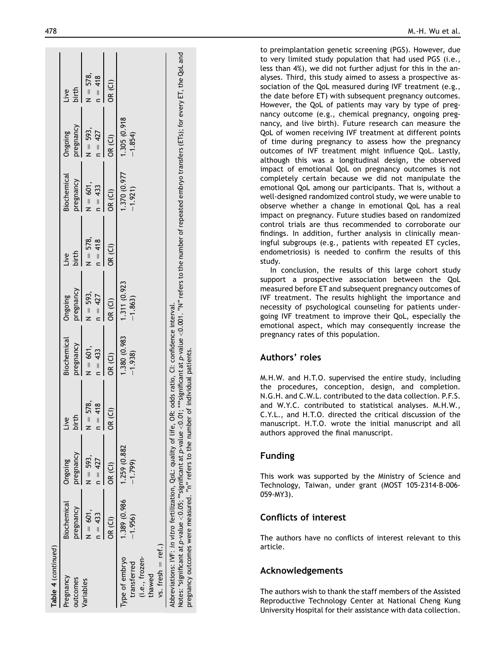| Table 4 (continued)                                                                                                                                                                                                                                                                                                                             |                          |                        |                     |                                          |                       |                         |                          |                       |                         |
|-------------------------------------------------------------------------------------------------------------------------------------------------------------------------------------------------------------------------------------------------------------------------------------------------------------------------------------------------|--------------------------|------------------------|---------------------|------------------------------------------|-----------------------|-------------------------|--------------------------|-----------------------|-------------------------|
| Pregnancy<br>outcomes                                                                                                                                                                                                                                                                                                                           | Biochemical<br>pregnancy | pregnancy<br>Ongoing   | birth<br>Live       | Biochemical<br>pregnancy                 | pregnancy<br>Ongoing  | birth<br>Live           | Biochemical<br>pregnancy | pregnancy<br>Ongoing  | birth<br>Live           |
| Variables                                                                                                                                                                                                                                                                                                                                       | $N = 601$ .<br>$n = 433$ | $N = 593$<br>$n = 427$ | $= 578,$<br>$= 418$ | $N = 601$ ,<br>$n = 433$                 | N = 593,<br>$n = 427$ | $N = 578,$<br>$n = 418$ | $N = 601$<br>$n = 433$   | N = 593,<br>$n = 427$ | $N = 578,$<br>$n = 418$ |
|                                                                                                                                                                                                                                                                                                                                                 | OR (CI)                  | OR (CI)                | OR (CI)             | OR (CI)                                  | OR (CI)               | OR (CI)                 | OR (CI)                  | OR (CI)               | OR (CI)                 |
| Type of embryo                                                                                                                                                                                                                                                                                                                                  | 1.389 (0.986             | 1.259 (0.882           |                     | 1.380 (0.983                             | 1.311 (0.923          |                         | 1.370 (0.977             | 1.305 (0.918          |                         |
| transferred                                                                                                                                                                                                                                                                                                                                     | $-1.956$                 | $-1.799$               |                     | $-1.938$                                 | $-1.863$              |                         | $-1.921$                 | $-1.854$              |                         |
| (i.e., frozen-                                                                                                                                                                                                                                                                                                                                  |                          |                        |                     |                                          |                       |                         |                          |                       |                         |
| thawed                                                                                                                                                                                                                                                                                                                                          |                          |                        |                     |                                          |                       |                         |                          |                       |                         |
| vs. fresh $=$ ref.)                                                                                                                                                                                                                                                                                                                             |                          |                        |                     |                                          |                       |                         |                          |                       |                         |
| Notes: "significant at p-value <0.05; "*significant at p-value <0.01; five at p-value <0.001. "N" refers to the number of repeated embryo transfers (ETs); for every ET, the QoL and<br>pregnancy outcomes were measured. "n" refers to the number of individual patients.<br>Abbreviations: IVF: in vitro fertilization, QoL: quality of life, |                          |                        |                     | OR: odds ratio, CI: confidence interval. |                       |                         |                          |                       |                         |

to preimplantation genetic screening (PGS). However, due to very limited study population that had used PGS (i.e., less than 4%), we did not further adjust for this in the analyses. Third, this study aimed to assess a prospective association of the QoL measured during IVF treatment (e.g., the date before ET) with subsequent pregnancy outcomes. However, the QoL of patients may vary by type of pregnancy outcome (e.g., chemical pregnancy, ongoing pregnancy, and live birth). Future research can measure the QoL of women receiving IVF treatment at different points of time during pregnancy to assess how the pregnancy outcomes of IVF treatment might influence QoL. Lastly, although this was a longitudinal design, the observed impact of emotional QoL on pregnancy outcomes is not completely certain because we did not manipulate the emotional QoL among our participants. That is, without a well-designed randomized control study, we were unable to observe whether a change in emotional QoL has a real impact on pregnancy. Future studies based on randomized control trials are thus recommended to corroborate our findings. In addition, further analysis in clinically meaningful subgroups (e.g., patients with repeated ET cycles, endometriosis) is needed to confirm the results of this study.

In conclusion, the results of this large cohort study support a prospective association between the QoL measured before ET and subsequent pregnancy outcomes of IVF treatment. The results highlight the importance and necessity of psychological counseling for patients undergoing IVF treatment to improve their QoL, especially the emotional aspect, which may consequently increase the pregnancy rates of this population.

## Authors' roles

M.H.W. and H.T.O. supervised the entire study, including the procedures, conception, design, and completion. N.G.H. and C.W.L. contributed to the data collection. P.F.S. and W.Y.C. contributed to statistical analyses. M.H.W., C.Y.L., and H.T.O. directed the critical discussion of the manuscript. H.T.O. wrote the initial manuscript and all authors approved the final manuscript.

## Funding

This work was supported by the Ministry of Science and Technology, Taiwan, under grant (MOST 105-2314-B-006- 059-MY3).

## Conflicts of interest

The authors have no conflicts of interest relevant to this article.

## Acknowledgements

The authors wish to thank the staff members of the Assisted Reproductive Technology Center at National Cheng Kung University Hospital for their assistance with data collection.